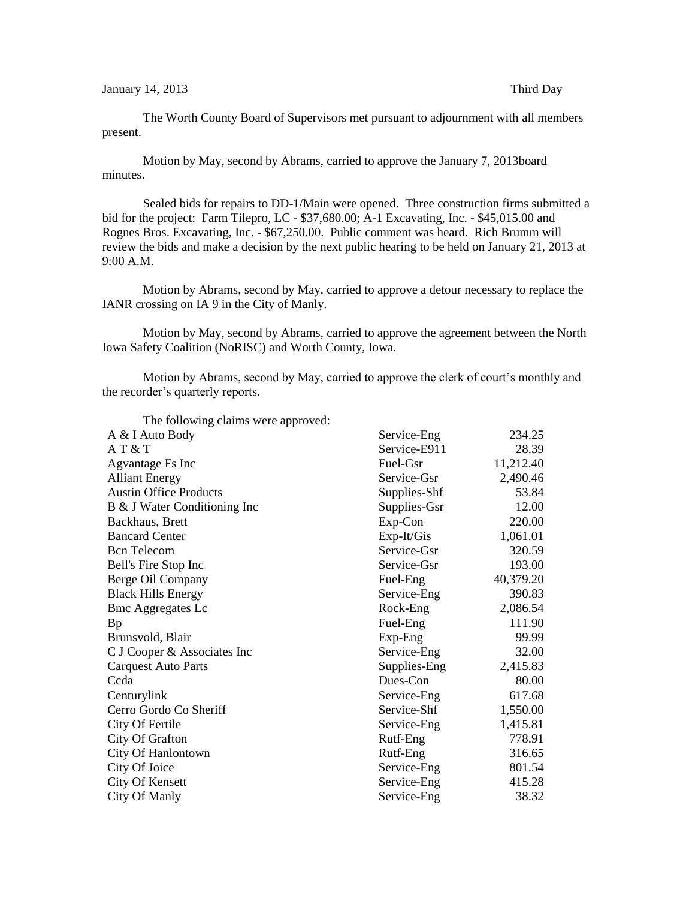## January 14, 2013 Third Day

The Worth County Board of Supervisors met pursuant to adjournment with all members present.

Motion by May, second by Abrams, carried to approve the January 7, 2013board minutes.

Sealed bids for repairs to DD-1/Main were opened. Three construction firms submitted a bid for the project: Farm Tilepro, LC - \$37,680.00; A-1 Excavating, Inc. - \$45,015.00 and Rognes Bros. Excavating, Inc. - \$67,250.00. Public comment was heard. Rich Brumm will review the bids and make a decision by the next public hearing to be held on January 21, 2013 at 9:00 A.M.

Motion by Abrams, second by May, carried to approve a detour necessary to replace the IANR crossing on IA 9 in the City of Manly.

Motion by May, second by Abrams, carried to approve the agreement between the North Iowa Safety Coalition (NoRISC) and Worth County, Iowa.

Motion by Abrams, second by May, carried to approve the clerk of court's monthly and the recorder's quarterly reports.

| The following claims were approved: |              |           |
|-------------------------------------|--------------|-----------|
| A & I Auto Body                     | Service-Eng  | 234.25    |
| AT & T                              | Service-E911 | 28.39     |
| Agvantage Fs Inc                    | Fuel-Gsr     | 11,212.40 |
| <b>Alliant Energy</b>               | Service-Gsr  | 2,490.46  |
| <b>Austin Office Products</b>       | Supplies-Shf | 53.84     |
| B & J Water Conditioning Inc        | Supplies-Gsr | 12.00     |
| Backhaus, Brett                     | Exp-Con      | 220.00    |
| <b>Bancard Center</b>               | $Exp-It/Gis$ | 1,061.01  |
| <b>Bcn</b> Telecom                  | Service-Gsr  | 320.59    |
| Bell's Fire Stop Inc                | Service-Gsr  | 193.00    |
| Berge Oil Company                   | Fuel-Eng     | 40,379.20 |
| <b>Black Hills Energy</b>           | Service-Eng  | 390.83    |
| <b>Bmc Aggregates Lc</b>            | Rock-Eng     | 2,086.54  |
| Bp                                  | Fuel-Eng     | 111.90    |
| Brunsvold, Blair                    | Exp-Eng      | 99.99     |
| C J Cooper & Associates Inc         | Service-Eng  | 32.00     |
| <b>Carquest Auto Parts</b>          | Supplies-Eng | 2,415.83  |
| Ccda                                | Dues-Con     | 80.00     |
| Centurylink                         | Service-Eng  | 617.68    |
| Cerro Gordo Co Sheriff              | Service-Shf  | 1,550.00  |
| City Of Fertile                     | Service-Eng  | 1,415.81  |
| City Of Grafton                     | Rutf-Eng     | 778.91    |
| City Of Hanlontown                  | Rutf-Eng     | 316.65    |
| City Of Joice                       | Service-Eng  | 801.54    |
| City Of Kensett                     | Service-Eng  | 415.28    |
| City Of Manly                       | Service-Eng  | 38.32     |
|                                     |              |           |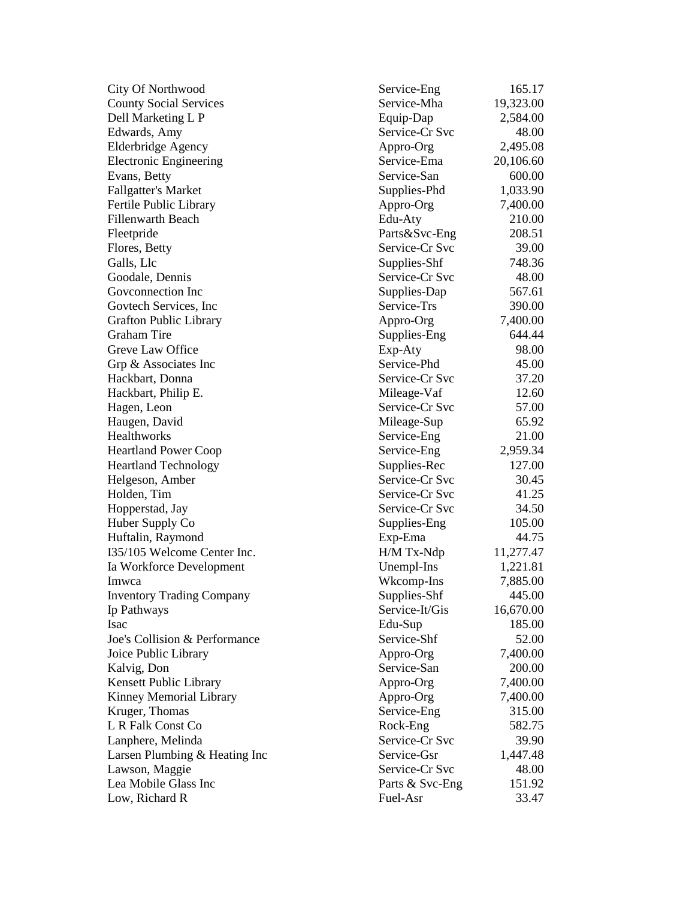City Of Northwood County Social Services Dell Marketing L P Edwards, Amy Elderbridge Agency Electronic Engineering Evans, Betty Fallgatter's Market Fertile Public Library Fillenwarth Beach Fleetpride Flores, Betty Galls, Llc Goodale, Dennis Govconnection Inc. Govtech Services, Inc. Grafton Public Library Graham Tire Greve Law Office Grp & Associates Inc Hackbart, Donna Hackbart, Philip E. Hagen, Leon Haugen, David Healthworks Heartland Power Coop Heartland Technology Helgeson, Amber Holden, Tim Hopperstad, Jay Huber Supply Co Huftalin, Raymond  $I35/105$  Welcome Center Inc. Ia Workforce Development Imwca Inventory Trading Company Ip Pathways Isac Edu Joe's Collision & Performance Joice Public Library Kalvig, Don Kensett Public Library Kinney Memorial Library Kruger, Thomas L R Falk Const Co Lanphere, Melinda Larsen Plumbing  $&$  Heating Inc Lawson, Maggie Lea Mobile Glass Inc Low, Richard R

| Service-Eng     | 165.17    |
|-----------------|-----------|
| Service-Mha     | 19,323.00 |
| Equip-Dap       | 2,584.00  |
| Service-Cr Svc  | 48.00     |
|                 |           |
| Appro-Org       | 2,495.08  |
| Service-Ema     | 20,106.60 |
| Service-San     | 600.00    |
| Supplies-Phd    | 1,033.90  |
| Appro-Org       | 7,400.00  |
| Edu-Aty         | 210.00    |
| Parts&Svc-Eng   | 208.51    |
| Service-Cr Svc  | 39.00     |
| Supplies-Shf    | 748.36    |
| Service-Cr Svc  | 48.00     |
| Supplies-Dap    | 567.61    |
| Service-Trs     | 390.00    |
| Appro-Org       | 7,400.00  |
| Supplies-Eng    | 644.44    |
| Exp-Aty         | 98.00     |
| Service-Phd     | 45.00     |
| Service-Cr Svc  | 37.20     |
| Mileage-Vaf     | 12.60     |
| Service-Cr Svc  | 57.00     |
| Mileage-Sup     | 65.92     |
| Service-Eng     | 21.00     |
| Service-Eng     | 2,959.34  |
| Supplies-Rec    | 127.00    |
| Service-Cr Svc  | 30.45     |
| Service-Cr Svc  | 41.25     |
| Service-Cr Svc  | 34.50     |
|                 | 105.00    |
| Supplies-Eng    |           |
| Exp-Ema         | 44.75     |
| H/M Tx-Ndp      | 11,277.47 |
| Unempl-Ins      | 1,221.81  |
| Wkcomp-Ins      | 7,885.00  |
| Supplies-Shf    | 445.00    |
| Service-It/Gis  | 16,670.00 |
| Edu-Sup         | 185.00    |
| Service-Shf     | 52.00     |
| Appro-Org       | 7,400.00  |
| Service-San     | 200.00    |
| Appro-Org       | 7,400.00  |
| Appro-Org       | 7,400.00  |
| Service-Eng     | 315.00    |
| Rock-Eng        | 582.75    |
| Service-Cr Svc  | 39.90     |
| Service-Gsr     | 1,447.48  |
| Service-Cr Svc  | 48.00     |
| Parts & Svc-Eng | 151.92    |
| Fuel-Asr        | 33.47     |
|                 |           |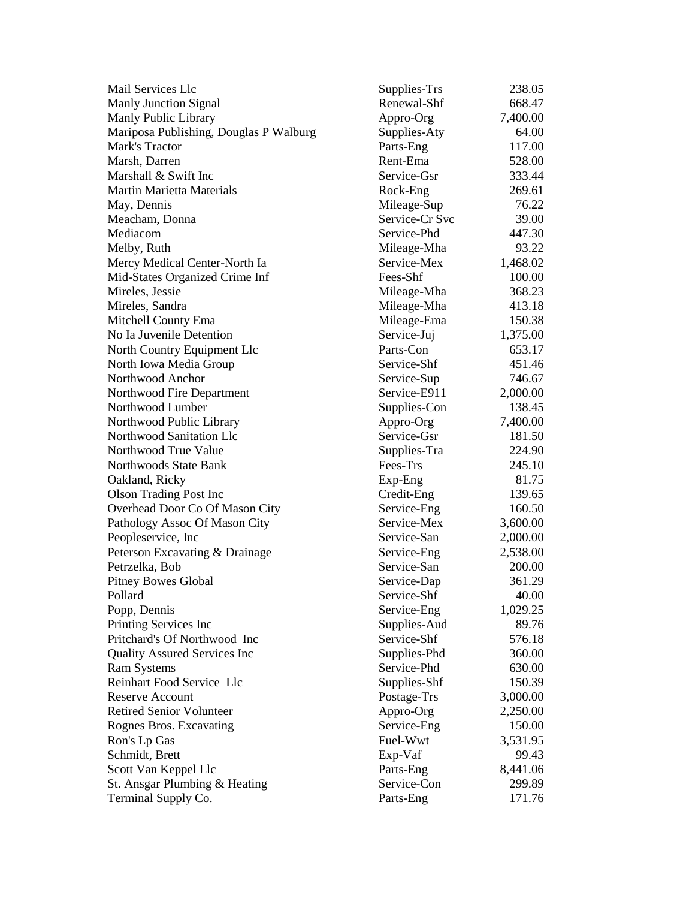| Mail Services Llc                      | Supplies-Trs   | 238.05   |
|----------------------------------------|----------------|----------|
| <b>Manly Junction Signal</b>           | Renewal-Shf    | 668.47   |
| Manly Public Library                   | Appro-Org      | 7,400.00 |
| Mariposa Publishing, Douglas P Walburg | Supplies-Aty   | 64.00    |
| Mark's Tractor                         | Parts-Eng      | 117.00   |
| Marsh, Darren                          | Rent-Ema       | 528.00   |
| Marshall & Swift Inc                   | Service-Gsr    | 333.44   |
| <b>Martin Marietta Materials</b>       | Rock-Eng       | 269.61   |
| May, Dennis                            | Mileage-Sup    | 76.22    |
| Meacham, Donna                         | Service-Cr Svc | 39.00    |
| Mediacom                               | Service-Phd    | 447.30   |
| Melby, Ruth                            | Mileage-Mha    | 93.22    |
| Mercy Medical Center-North Ia          | Service-Mex    | 1,468.02 |
| Mid-States Organized Crime Inf         | Fees-Shf       | 100.00   |
| Mireles, Jessie                        | Mileage-Mha    | 368.23   |
| Mireles, Sandra                        | Mileage-Mha    | 413.18   |
| Mitchell County Ema                    | Mileage-Ema    | 150.38   |
| No Ia Juvenile Detention               | Service-Juj    | 1,375.00 |
| North Country Equipment Llc            | Parts-Con      | 653.17   |
| North Iowa Media Group                 | Service-Shf    | 451.46   |
| Northwood Anchor                       | Service-Sup    | 746.67   |
| Northwood Fire Department              | Service-E911   | 2,000.00 |
| Northwood Lumber                       | Supplies-Con   | 138.45   |
| Northwood Public Library               | Appro-Org      | 7,400.00 |
| Northwood Sanitation Llc               | Service-Gsr    | 181.50   |
| Northwood True Value                   | Supplies-Tra   | 224.90   |
| Northwoods State Bank                  | Fees-Trs       | 245.10   |
| Oakland, Ricky                         | $Exp-Eng$      | 81.75    |
| <b>Olson Trading Post Inc</b>          | Credit-Eng     | 139.65   |
| Overhead Door Co Of Mason City         | Service-Eng    | 160.50   |
| Pathology Assoc Of Mason City          | Service-Mex    | 3,600.00 |
| Peopleservice, Inc.                    | Service-San    | 2,000.00 |
| Peterson Excavating & Drainage         | Service-Eng    | 2,538.00 |
| Petrzelka, Bob                         | Service-San    | 200.00   |
| <b>Pitney Bowes Global</b>             | Service-Dap    | 361.29   |
| Pollard                                | Service-Shf    | 40.00    |
| Popp, Dennis                           | Service-Eng    | 1,029.25 |
| Printing Services Inc                  | Supplies-Aud   | 89.76    |
| Pritchard's Of Northwood Inc           | Service-Shf    | 576.18   |
| <b>Quality Assured Services Inc.</b>   | Supplies-Phd   | 360.00   |
| <b>Ram Systems</b>                     | Service-Phd    | 630.00   |
| Reinhart Food Service Llc              | Supplies-Shf   | 150.39   |
| <b>Reserve Account</b>                 | Postage-Trs    | 3,000.00 |
| <b>Retired Senior Volunteer</b>        | Appro-Org      | 2,250.00 |
| Rognes Bros. Excavating                | Service-Eng    | 150.00   |
| Ron's Lp Gas                           | Fuel-Wwt       | 3,531.95 |
| Schmidt, Brett                         | Exp-Vaf        | 99.43    |
| Scott Van Keppel Llc                   | Parts-Eng      | 8,441.06 |
| St. Ansgar Plumbing & Heating          | Service-Con    | 299.89   |
| Terminal Supply Co.                    | Parts-Eng      | 171.76   |